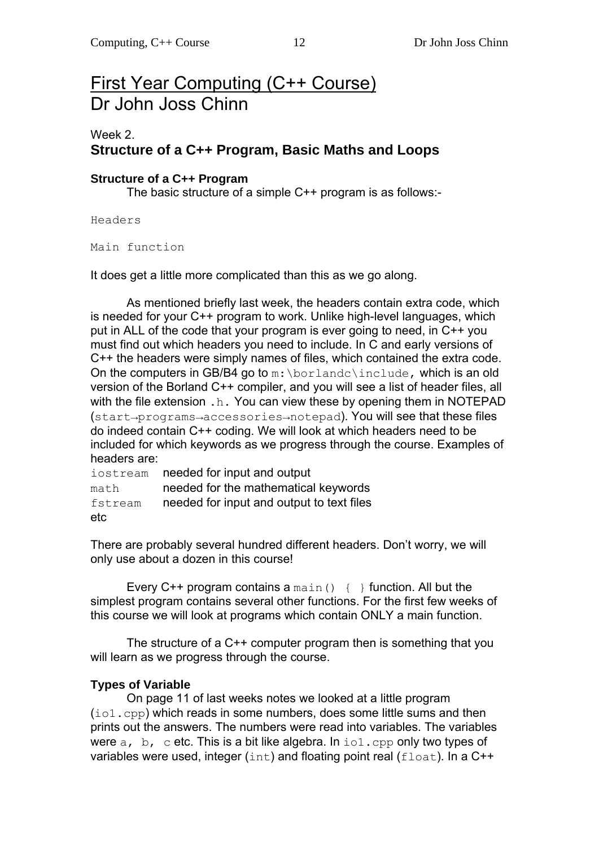# First Year Computing (C++ Course) Dr John Joss Chinn

# Week 2. **Structure of a C++ Program, Basic Maths and Loops**

#### **Structure of a C++ Program**

The basic structure of a simple C++ program is as follows:-

Headers

Main function

It does get a little more complicated than this as we go along.

As mentioned briefly last week, the headers contain extra code, which is needed for your C++ program to work. Unlike high-level languages, which put in ALL of the code that your program is ever going to need, in C++ you must find out which headers you need to include. In C and early versions of C++ the headers were simply names of files, which contained the extra code. On the computers in GB/B4 go to  $m:\bar{\bmod}$  include, which is an old version of the Borland C++ compiler, and you will see a list of header files, all with the file extension . h. You can view these by opening them in NOTEPAD (start→programs→accessories→notepad). You will see that these files do indeed contain C++ coding. We will look at which headers need to be included for which keywords as we progress through the course. Examples of headers are:

iostream needed for input and output math **needed for the mathematical keywords** fstream needed for input and output to text files etc

There are probably several hundred different headers. Don't worry, we will only use about a dozen in this course!

Every  $C++$  program contains a main()  $\{ \}$  function. All but the simplest program contains several other functions. For the first few weeks of this course we will look at programs which contain ONLY a main function.

 The structure of a C++ computer program then is something that you will learn as we progress through the course.

## **Types of Variable**

 On page 11 of last weeks notes we looked at a little program (io1.cpp) which reads in some numbers, does some little sums and then prints out the answers. The numbers were read into variables. The variables were  $a$ ,  $b$ ,  $c$  etc. This is a bit like algebra. In io1.cpp only two types of variables were used, integer  $(int)$  and floating point real  $(f$ loat). In a C++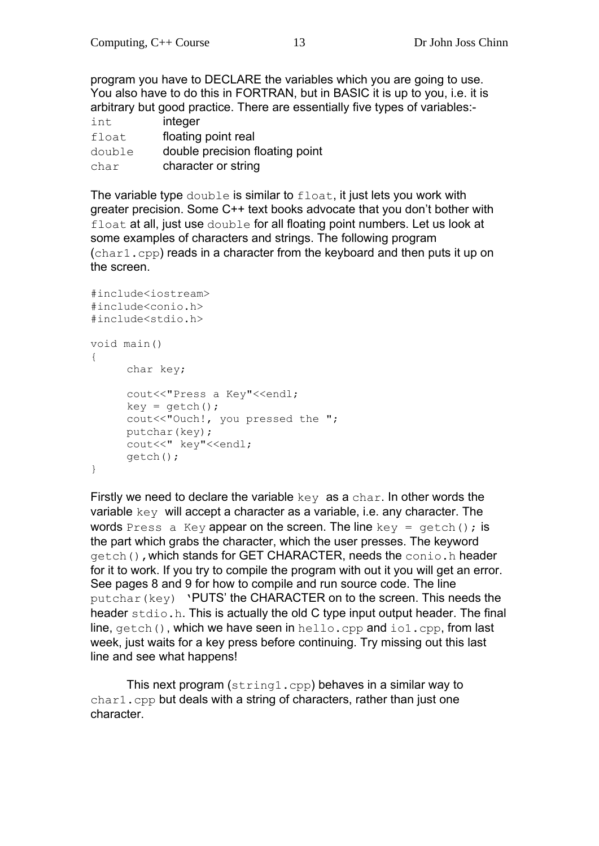program you have to DECLARE the variables which you are going to use. You also have to do this in FORTRAN, but in BASIC it is up to you, i.e. it is arbitrary but good practice. There are essentially five types of variables:-

| int    | integer                         |
|--------|---------------------------------|
| float  | floating point real             |
| double | double precision floating point |
| char   | character or string             |

The variable type double is similar to float, it just lets you work with greater precision. Some C++ text books advocate that you don't bother with float at all, just use double for all floating point numbers. Let us look at some examples of characters and strings. The following program (char1.cpp) reads in a character from the keyboard and then puts it up on the screen.

```
#include<iostream> 
#include<conio.h> 
#include<stdio.h> 
void main() 
{ 
      char key; 
      cout<<"Press a Key"<<endl;
     key = getch(); cout<<"Ouch!, you pressed the "; 
      putchar(key); 
     cout<<" key"<<endl;
       getch(); 
}
```
Firstly we need to declare the variable  $key$  as a char. In other words the variable key will accept a character as a variable, i.e. any character. The words Press a Key appear on the screen. The line key =  $qetch()$ ; is the part which grabs the character, which the user presses. The keyword getch(),which stands for GET CHARACTER, needs the conio.h header for it to work. If you try to compile the program with out it you will get an error. See pages 8 and 9 for how to compile and run source code. The line putchar(key) 'PUTS' the CHARACTER on to the screen. This needs the header stdio.h. This is actually the old C type input output header. The final line, getch(), which we have seen in hello.cpp and  $\text{tol.cpp}$ , from last week, just waits for a key press before continuing. Try missing out this last line and see what happens!

 This next program (string1.cpp) behaves in a similar way to char1.cpp but deals with a string of characters, rather than just one character.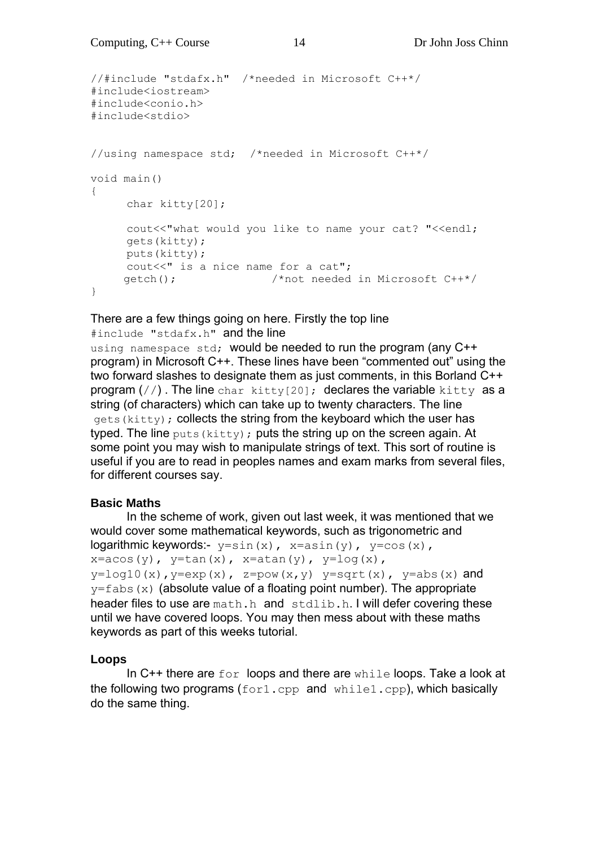```
//#include "stdafx.h" /*needed in Microsoft C++*/ 
#include<iostream> 
#include<conio.h> 
#include<stdio> 
//using namespace std; /*needed in Microsoft C++*/ 
void main() 
{ 
      char kitty[20]; 
     cout<<"what would you like to name your cat? "<<endl;
      gets(kitty); 
      puts(kitty); 
     cout<<" is a nice name for a cat";
      getch(); /*not needed in Microsoft C++*/ 
}
```
#### There are a few things going on here. Firstly the top line

#include "stdafx.h" and the line using namespace std; would be needed to run the program (any C++ program) in Microsoft C++. These lines have been "commented out" using the two forward slashes to designate them as just comments, in this Borland C++ program  $\left(\frac{1}{1}\right)$ . The line char kitty[20]; declares the variable kitty as a string (of characters) which can take up to twenty characters. The line gets (kitty); collects the string from the keyboard which the user has typed. The line  $_{\text{puts}}$  (kitty); puts the string up on the screen again. At some point you may wish to manipulate strings of text. This sort of routine is useful if you are to read in peoples names and exam marks from several files, for different courses say.

## **Basic Maths**

 In the scheme of work, given out last week, it was mentioned that we would cover some mathematical keywords, such as trigonometric and logarithmic keywords:-  $y=sin(x)$ ,  $x=asin(y)$ ,  $y=cos(x)$ ,  $x = a \cos(y)$ ,  $y = \tan(x)$ ,  $x = a \tan(y)$ ,  $y = \log(x)$ ,  $y=log10(x)$ ,  $y=exp(x)$ ,  $z=pow(x,y)$   $y=sqrt(x)$ ,  $y=abs(x)$  and  $y=fabs(x)$  (absolute value of a floating point number). The appropriate header files to use are math.h and stdlib.h. I will defer covering these until we have covered loops. You may then mess about with these maths keywords as part of this weeks tutorial.

## **Loops**

In  $C++$  there are  $for$  loops and there are  $while$  loops. Take a look at the following two programs (for1.cpp and while1.cpp), which basically do the same thing.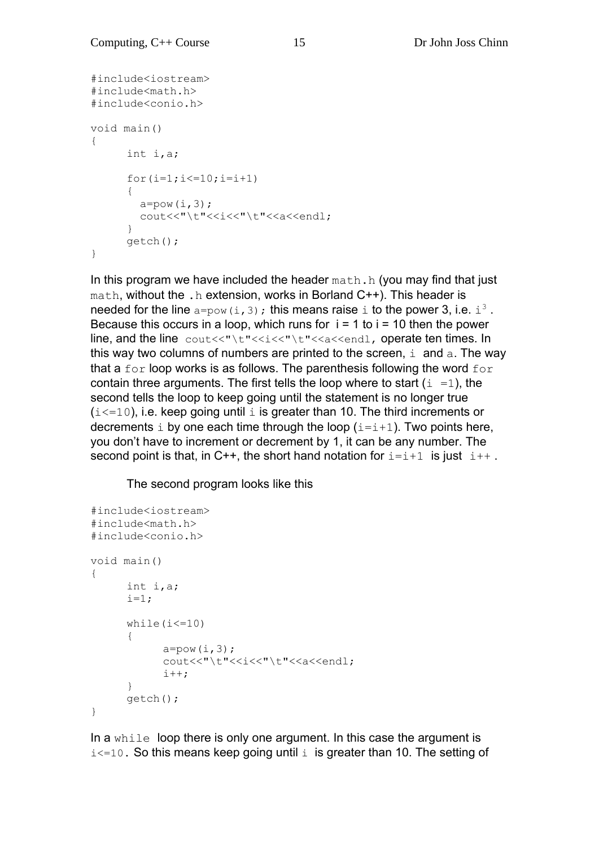```
#include<iostream> 
#include<math.h> 
#include<conio.h> 
void main() 
{ 
       int i,a; 
      for(i=1; i<=10; i=i+1)
\{\qquad \}a=pow(i,3);cout<<"\t"<<<i<<"\t"<<a<<endl;
       } 
       getch(); 
}
```
In this program we have included the header  $math.h$  (you may find that just math, without the .h extension, works in Borland C++). This header is needed for the line  $a = pow(i, 3)$ ; this means raise i to the power 3, i.e.  $i^3$ . Because this occurs in a loop, which runs for  $i = 1$  to  $i = 10$  then the power line, and the line cout<<"\t"<<i<<"\t"<<a<<endl, operate ten times. In this way two columns of numbers are printed to the screen,  $\pm$  and  $\pm$ . The way that a  $for$  loop works is as follows. The parenthesis following the word  $for$ contain three arguments. The first tells the loop where to start  $(i = 1)$ , the second tells the loop to keep going until the statement is no longer true  $(i \le 10)$ , i.e. keep going until i is greater than 10. The third increments or decrements  $\pm$  by one each time through the loop ( $\pm$ = $\pm$ +1). Two points here, you don't have to increment or decrement by 1, it can be any number. The second point is that, in C++, the short hand notation for  $i=i+1$  is just  $i++$ .

The second program looks like this

```
#include<iostream> 
#include<math.h> 
#include<conio.h> 
void main() 
{ 
       int i,a; 
      i=1;while(i<=10) { 
            a=pow(i,3);cout<<"\t"<<i<<"\t"<<a<<endl;
            i++; } 
       getch(); 
}
```
In a while loop there is only one argument. In this case the argument is  $i \leq 10$ . So this means keep going until  $i$  is greater than 10. The setting of